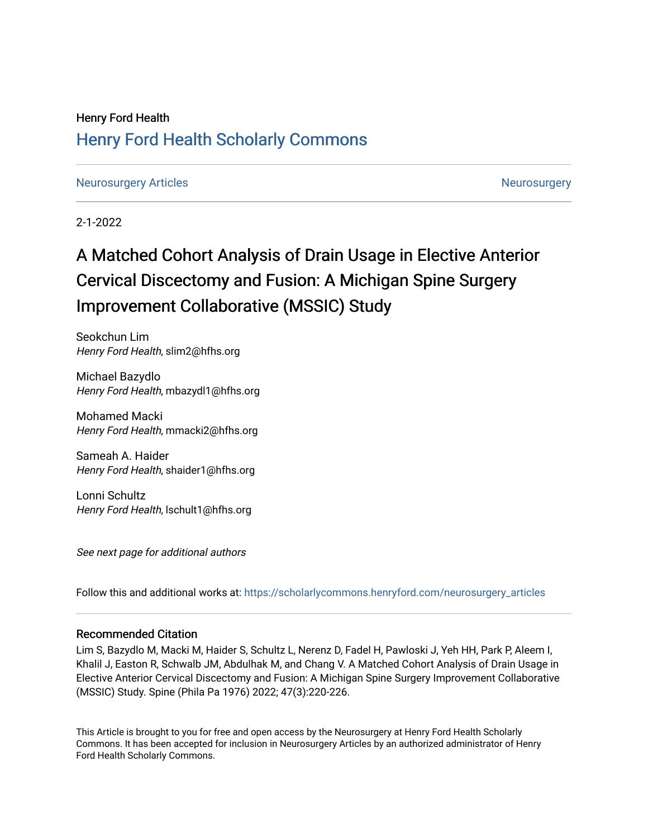### Henry Ford Health [Henry Ford Health Scholarly Commons](https://scholarlycommons.henryford.com/)

#### [Neurosurgery Articles](https://scholarlycommons.henryford.com/neurosurgery_articles) **[Neurosurgery](https://scholarlycommons.henryford.com/neurosurgery) Articles** Neurosurgery Neurosurgery

2-1-2022

## A Matched Cohort Analysis of Drain Usage in Elective Anterior Cervical Discectomy and Fusion: A Michigan Spine Surgery Improvement Collaborative (MSSIC) Study

Seokchun Lim Henry Ford Health, slim2@hfhs.org

Michael Bazydlo Henry Ford Health, mbazydl1@hfhs.org

Mohamed Macki Henry Ford Health, mmacki2@hfhs.org

Sameah A. Haider Henry Ford Health, shaider1@hfhs.org

Lonni Schultz Henry Ford Health, Ischult1@hfhs.org

See next page for additional authors

Follow this and additional works at: [https://scholarlycommons.henryford.com/neurosurgery\\_articles](https://scholarlycommons.henryford.com/neurosurgery_articles?utm_source=scholarlycommons.henryford.com%2Fneurosurgery_articles%2F437&utm_medium=PDF&utm_campaign=PDFCoverPages) 

#### Recommended Citation

Lim S, Bazydlo M, Macki M, Haider S, Schultz L, Nerenz D, Fadel H, Pawloski J, Yeh HH, Park P, Aleem I, Khalil J, Easton R, Schwalb JM, Abdulhak M, and Chang V. A Matched Cohort Analysis of Drain Usage in Elective Anterior Cervical Discectomy and Fusion: A Michigan Spine Surgery Improvement Collaborative (MSSIC) Study. Spine (Phila Pa 1976) 2022; 47(3):220-226.

This Article is brought to you for free and open access by the Neurosurgery at Henry Ford Health Scholarly Commons. It has been accepted for inclusion in Neurosurgery Articles by an authorized administrator of Henry Ford Health Scholarly Commons.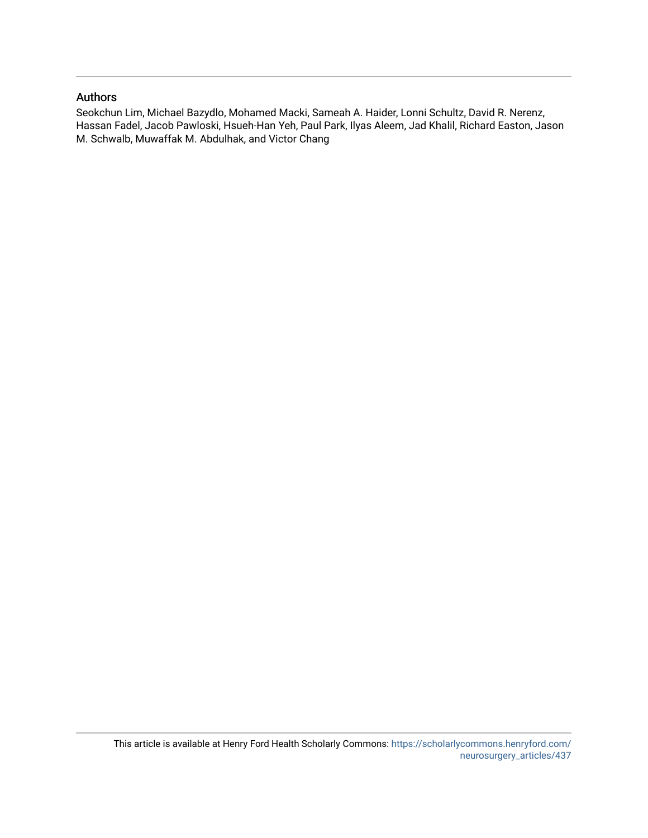#### Authors

Seokchun Lim, Michael Bazydlo, Mohamed Macki, Sameah A. Haider, Lonni Schultz, David R. Nerenz, Hassan Fadel, Jacob Pawloski, Hsueh-Han Yeh, Paul Park, Ilyas Aleem, Jad Khalil, Richard Easton, Jason M. Schwalb, Muwaffak M. Abdulhak, and Victor Chang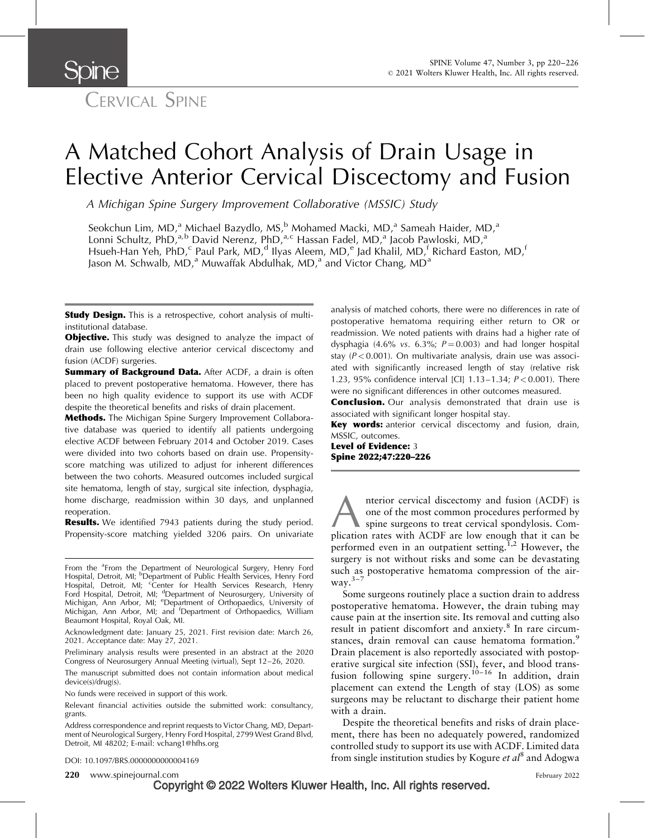

# A Matched Cohort Analysis of Drain Usage in Elective Anterior Cervical Discectomy and Fusion

A Michigan Spine Surgery Improvement Collaborative (MSSIC) Study

Seokchun Lim, MD, $\mathrm{^a}$  Michael Bazydlo, MS, $\mathrm{^b}$  Mohamed Macki, MD, $\mathrm{^a}$  Sameah Haider, MD, $\mathrm{^a}$ Lonni Schultz, PhD,<sup>a,b</sup> David Nerenz, PhD,<sup>a,c</sup> Hassan Fadel, MD,<sup>a</sup> Jacob Pawloski, MD,<sup>a</sup> Hsueh-Han Yeh, PhD,<sup>c</sup> Paul Park, MD,<sup>d</sup> Ilyas Aleem, MD,<sup>e</sup> Jad Khalil, MD,<sup>f</sup> Richard Easton, MD,<sup>f</sup> Jason M. Schwalb, MD,<sup>a</sup> Muwaffak Abdulhak, MD,<sup>a</sup> and Victor Chang, MD<sup>a</sup>

**Study Design.** This is a retrospective, cohort analysis of multiinstitutional database.

**Objective.** This study was designed to analyze the impact of drain use following elective anterior cervical discectomy and fusion (ACDF) surgeries.

**Summary of Background Data.** After ACDF, a drain is often placed to prevent postoperative hematoma. However, there has been no high quality evidence to support its use with ACDF despite the theoretical benefits and risks of drain placement.

**Methods.** The Michigan Spine Surgery Improvement Collaborative database was queried to identify all patients undergoing elective ACDF between February 2014 and October 2019. Cases were divided into two cohorts based on drain use. Propensityscore matching was utilized to adjust for inherent differences between the two cohorts. Measured outcomes included surgical site hematoma, length of stay, surgical site infection, dysphagia, home discharge, readmission within 30 days, and unplanned reoperation.

**Results.** We identified 7943 patients during the study period. Propensity-score matching yielded 3206 pairs. On univariate analysis of matched cohorts, there were no differences in rate of postoperative hematoma requiring either return to OR or readmission. We noted patients with drains had a higher rate of dysphagia (4.6% vs. 6.3%;  $P = 0.003$ ) and had longer hospital stay  $(P < 0.001)$ . On multivariate analysis, drain use was associated with significantly increased length of stay (relative risk 1.23, 95% confidence interval [CI] 1.13–1.34; P < 0.001). There were no significant differences in other outcomes measured.

**Conclusion.** Our analysis demonstrated that drain use is associated with significant longer hospital stay.

Key words: anterior cervical discectomy and fusion, drain, MSSIC, outcomes.

Level of Evidence: 3 Spine 2022;47:220–226

Anterior cervical discectomy and fusion (ACDF) is<br>one of the most common procedures performed by<br>spine surgeons to treat cervical spondylosis. Com-<br>plication rates with ACDF are low enough that it can be one of the most common procedures performed by spine surgeons to treat cervical spondylosis. Comperformed even in an outpatient setting.<sup> $1,2$ </sup> However, the surgery is not without risks and some can be devastating such as postoperative hematoma compression of the airway. $3-7$ 

Some surgeons routinely place a suction drain to address postoperative hematoma. However, the drain tubing may cause pain at the insertion site. Its removal and cutting also result in patient discomfort and anxiety.<sup>[8](#page-8-0)</sup> In rare circum-stances, drain removal can cause hematoma formation.<sup>[9](#page-8-0)</sup> Drain placement is also reportedly associated with postoperative surgical site infection (SSI), fever, and blood trans-fusion following spine surgery.<sup>[10–16](#page-8-0)</sup> In addition, drain placement can extend the Length of stay (LOS) as some surgeons may be reluctant to discharge their patient home with a drain.

Despite the theoretical benefits and risks of drain placement, there has been no adequately powered, randomized controlled study to support its use with ACDF. Limited data from single institution studies by Kogure *et al*<sup>[8](#page-8-0)</sup> and Adogwa

DOI: 10.1097/BRS.0000000000004169

220 www.spinejournal.com February 2022

From the <sup>a</sup>From the Department of Neurological Surgery, Henry Ford Hospital, Detroit, MI; <sup>b</sup>Department of Public Health Services, Henry Ford Hospital, Detroit, MI; <sup>c</sup>Center for Health Services Research, Henry Ford Hospital, Detroit, MI; <sup>d</sup>Department of Neurosurgery, University of Michigan, Ann Arbor, MI; <sup>e</sup>Department of Orthopaedics, University of Michigan, Ann Arbor, MI; and <sup>f</sup>Department of Orthopaedics, William Beaumont Hospital, Royal Oak, MI.

Acknowledgment date: January 25, 2021. First revision date: March 26, 2021. Acceptance date: May 27, 2021.

Preliminary analysis results were presented in an abstract at the 2020 Congress of Neurosurgery Annual Meeting (virtual), Sept 12–26, 2020.

The manuscript submitted does not contain information about medical device(s)/drug(s).

No funds were received in support of this work.

Relevant financial activities outside the submitted work: consultancy, grants.

Address correspondence and reprint requests to Victor Chang, MD, Department of Neurological Surgery, Henry Ford Hospital, 2799 West Grand Blvd, Detroit, MI 48202; E-mail: vchang1@hfhs.org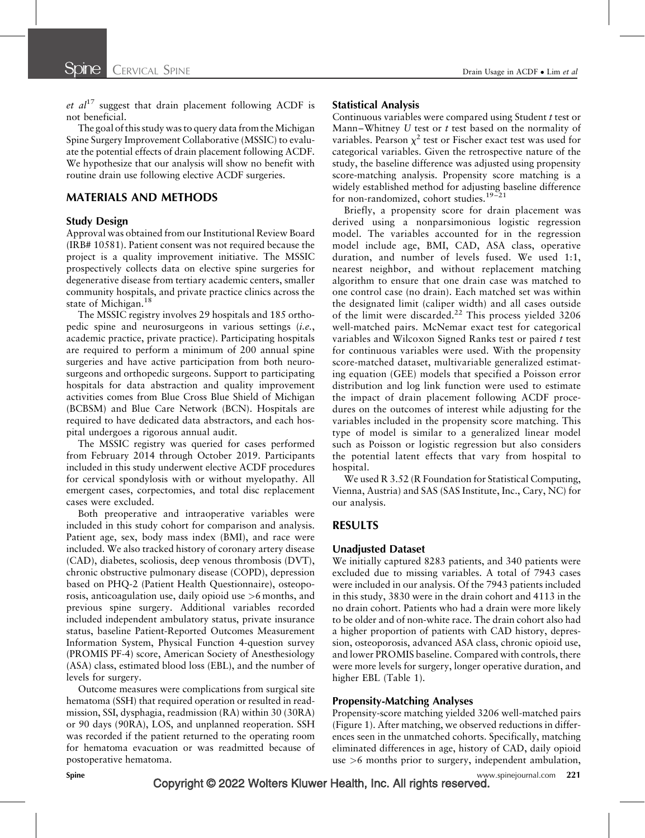et  $al^{17}$  $al^{17}$  $al^{17}$  suggest that drain placement following ACDF is not beneficial.

The goal of this study was to query data from the Michigan Spine Surgery Improvement Collaborative (MSSIC) to evaluate the potential effects of drain placement following ACDF. We hypothesize that our analysis will show no benefit with routine drain use following elective ACDF surgeries.

#### MATERIALS AND METHODS

#### Study Design

Approval was obtained from our Institutional Review Board (IRB# 10581). Patient consent was not required because the project is a quality improvement initiative. The MSSIC prospectively collects data on elective spine surgeries for degenerative disease from tertiary academic centers, smaller community hospitals, and private practice clinics across the state of Michigan.<sup>[18](#page-8-0)</sup>

The MSSIC registry involves 29 hospitals and 185 orthopedic spine and neurosurgeons in various settings (i.e., academic practice, private practice). Participating hospitals are required to perform a minimum of 200 annual spine surgeries and have active participation from both neurosurgeons and orthopedic surgeons. Support to participating hospitals for data abstraction and quality improvement activities comes from Blue Cross Blue Shield of Michigan (BCBSM) and Blue Care Network (BCN). Hospitals are required to have dedicated data abstractors, and each hospital undergoes a rigorous annual audit.

The MSSIC registry was queried for cases performed from February 2014 through October 2019. Participants included in this study underwent elective ACDF procedures for cervical spondylosis with or without myelopathy. All emergent cases, corpectomies, and total disc replacement cases were excluded.

Both preoperative and intraoperative variables were included in this study cohort for comparison and analysis. Patient age, sex, body mass index (BMI), and race were included. We also tracked history of coronary artery disease (CAD), diabetes, scoliosis, deep venous thrombosis (DVT), chronic obstructive pulmonary disease (COPD), depression based on PHQ-2 (Patient Health Questionnaire), osteoporosis, anticoagulation use, daily opioid use >6 months, and previous spine surgery. Additional variables recorded included independent ambulatory status, private insurance status, baseline Patient-Reported Outcomes Measurement Information System, Physical Function 4-question survey (PROMIS PF-4) score, American Society of Anesthesiology (ASA) class, estimated blood loss (EBL), and the number of levels for surgery.

Outcome measures were complications from surgical site hematoma (SSH) that required operation or resulted in readmission, SSI, dysphagia, readmission (RA) within 30 (30RA) or 90 days (90RA), LOS, and unplanned reoperation. SSH was recorded if the patient returned to the operating room for hematoma evacuation or was readmitted because of postoperative hematoma.

#### Statistical Analysis

Continuous variables were compared using Student t test or Mann–Whitney  $U$  test or  $t$  test based on the normality of variables. Pearson  $\chi^2$  test or Fischer exact test was used for categorical variables. Given the retrospective nature of the study, the baseline difference was adjusted using propensity score-matching analysis. Propensity score matching is a widely established method for adjusting baseline difference for non-randomized, cohort studies.[19–21](#page-8-0)

Briefly, a propensity score for drain placement was derived using a nonparsimonious logistic regression model. The variables accounted for in the regression model include age, BMI, CAD, ASA class, operative duration, and number of levels fused. We used 1:1, nearest neighbor, and without replacement matching algorithm to ensure that one drain case was matched to one control case (no drain). Each matched set was within the designated limit (caliper width) and all cases outside of the limit were discarded.[22](#page-8-0) This process yielded 3206 well-matched pairs. McNemar exact test for categorical variables and Wilcoxon Signed Ranks test or paired t test for continuous variables were used. With the propensity score-matched dataset, multivariable generalized estimating equation (GEE) models that specified a Poisson error distribution and log link function were used to estimate the impact of drain placement following ACDF procedures on the outcomes of interest while adjusting for the variables included in the propensity score matching. This type of model is similar to a generalized linear model such as Poisson or logistic regression but also considers the potential latent effects that vary from hospital to hospital.

We used R 3.52 (R Foundation for Statistical Computing, Vienna, Austria) and SAS (SAS Institute, Inc., Cary, NC) for our analysis.

#### RESULTS

#### Unadjusted Dataset

We initially captured 8283 patients, and 340 patients were excluded due to missing variables. A total of 7943 cases were included in our analysis. Of the 7943 patients included in this study, 3830 were in the drain cohort and 4113 in the no drain cohort. Patients who had a drain were more likely to be older and of non-white race. The drain cohort also had a higher proportion of patients with CAD history, depression, osteoporosis, advanced ASA class, chronic opioid use, and lower PROMIS baseline. Compared with controls, there were more levels for surgery, longer operative duration, and higher EBL (Table 1).

#### Propensity-Matching Analyses

Propensity-score matching yielded 3206 well-matched pairs (Figure 1). After matching, we observed reductions in differences seen in the unmatched cohorts. Specifically, matching eliminated differences in age, history of CAD, daily opioid use >6 months prior to surgery, independent ambulation,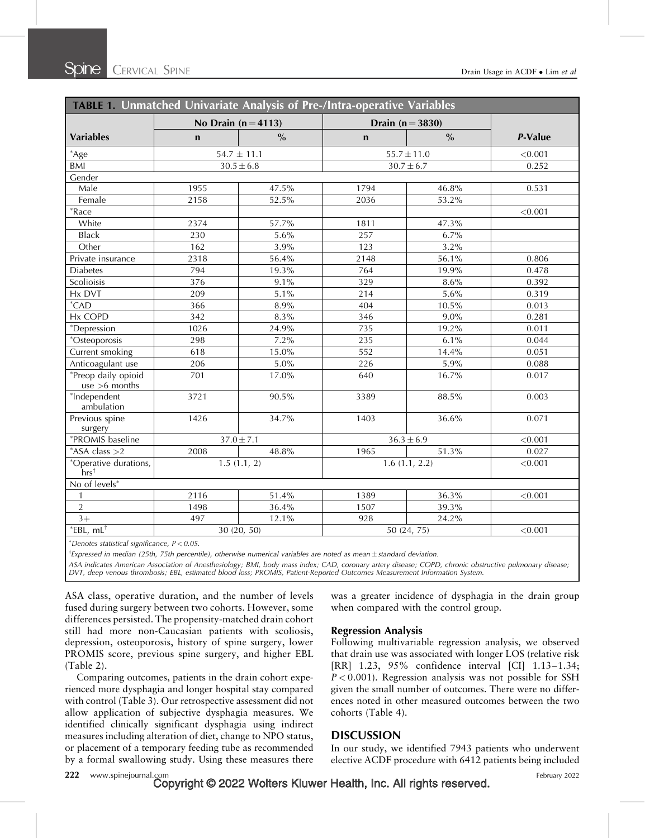|                                                     |             |                     | <b>TABLE 1. Unmatched Univariate Analysis of Pre-/Intra-operative Variables</b> |                  |         |
|-----------------------------------------------------|-------------|---------------------|---------------------------------------------------------------------------------|------------------|---------|
|                                                     |             | No Drain $(n=4113)$ |                                                                                 | Drain $(n=3830)$ |         |
| <b>Variables</b>                                    | $\mathbf n$ | $\frac{0}{0}$       | $\mathbf n$                                                                     | $\frac{0}{0}$    | P-Value |
| *Age                                                |             | $54.7 \pm 11.1$     |                                                                                 | $55.7 \pm 11.0$  | < 0.001 |
| <b>BMI</b>                                          |             | $30.5 \pm 6.8$      |                                                                                 | $30.7 \pm 6.7$   | 0.252   |
| Gender                                              |             |                     |                                                                                 |                  |         |
| Male                                                | 1955        | 47.5%               | 1794                                                                            | 46.8%            | 0.531   |
| Female                                              | 2158        | 52.5%               | 2036                                                                            | 53.2%            |         |
| *Race                                               |             |                     |                                                                                 |                  | < 0.001 |
| White                                               | 2374        | 57.7%               | 1811                                                                            | 47.3%            |         |
| <b>Black</b>                                        | 230         | 5.6%                | 257                                                                             | 6.7%             |         |
| Other                                               | 162         | 3.9%                | 123                                                                             | 3.2%             |         |
| Private insurance                                   | 2318        | 56.4%               | 2148                                                                            | 56.1%            | 0.806   |
| <b>Diabetes</b>                                     | 794         | 19.3%               | 764                                                                             | 19.9%            | 0.478   |
| Scolioisis                                          | 376         | 9.1%                | 329                                                                             | 8.6%             | 0.392   |
| Hx DVT                                              | 209         | 5.1%                | 214                                                                             | 5.6%             | 0.319   |
| $*$ CAD                                             | 366         | 8.9%                | 404                                                                             | 10.5%            | 0.013   |
| <b>Hx COPD</b>                                      | 342         | 8.3%                | 346                                                                             | $9.0\%$          | 0.281   |
| *Depression                                         | 1026        | 24.9%               | 735                                                                             | 19.2%            | 0.011   |
| *Osteoporosis                                       | 298         | 7.2%                | 235                                                                             | 6.1%             | 0.044   |
| Current smoking                                     | 618         | 15.0%               | 552                                                                             | 14.4%            | 0.051   |
| Anticoagulant use                                   | 206         | 5.0%                | 226                                                                             | 5.9%             | 0.088   |
| *Preop daily opioid<br>$use > 6$ months             | 701         | 17.0%               | 640                                                                             | 16.7%            | 0.017   |
| *Independent<br>ambulation                          | 3721        | 90.5%               | 3389                                                                            | 88.5%            | 0.003   |
| Previous spine<br>surgery                           | 1426        | 34.7%               | 1403                                                                            | 36.6%            | 0.071   |
| *PROMIS baseline                                    |             | $37.0 \pm 7.1$      |                                                                                 | $36.3 \pm 6.9$   | < 0.001 |
| $*ASA class >2$                                     | 2008        | 48.8%               | 1965                                                                            | 51.3%            | 0.027   |
| *Operative durations,<br>$\text{h}$ rs <sup>†</sup> |             | 1.5(1.1, 2)         |                                                                                 | 1.6(1.1, 2.2)    | < 0.001 |
| No of levels*                                       |             |                     |                                                                                 |                  |         |
| $\mathbf{1}$                                        | 2116        | 51.4%               | 1389                                                                            | 36.3%            | < 0.001 |
| $\overline{2}$                                      | 1498        | 36.4%               | 1507                                                                            | 39.3%            |         |
| $3+$                                                | 497         | 12.1%               | 928                                                                             | 24.2%            |         |
| $*$ EBL, mL <sup>†</sup>                            |             | 30 (20, 50)         |                                                                                 | 50 (24, 75)      | < 0.001 |
|                                                     |             |                     |                                                                                 |                  |         |

\*Denotes statistical significance,  $P < 0.05$ .

 $^{\dagger}$ Expressed in median (25th, 75th percentile), otherwise numerical variables are noted as mean $\pm$ standard deviation.

ASA indicates American Association of Anesthesiology; BMI, body mass index; CAD, coronary artery disease; COPD, chronic obstructive pulmonary disease;<br>DVT, deep venous thrombosis; EBL, estimated blood loss; PROMIS, Patient

ASA class, operative duration, and the number of levels fused during surgery between two cohorts. However, some differences persisted. The propensity-matched drain cohort still had more non-Caucasian patients with scoliosis, depression, osteoporosis, history of spine surgery, lower PROMIS score, previous spine surgery, and higher EBL (Table 2).

Comparing outcomes, patients in the drain cohort experienced more dysphagia and longer hospital stay compared with control (Table 3). Our retrospective assessment did not allow application of subjective dysphagia measures. We identified clinically significant dysphagia using indirect measures including alteration of diet, change to NPO status, or placement of a temporary feeding tube as recommended by a formal swallowing study. Using these measures there was a greater incidence of dysphagia in the drain group when compared with the control group.

#### Regression Analysis

Following multivariable regression analysis, we observed that drain use was associated with longer LOS (relative risk [RR] 1.23, 95% confidence interval [CI] 1.13–1.34;  $P < 0.001$ ). Regression analysis was not possible for SSH given the small number of outcomes. There were no differences noted in other measured outcomes between the two cohorts (Table 4).

#### DISCUSSION

In our study, we identified 7943 patients who underwent elective ACDF procedure with 6412 patients being included

Copyright © 2022 Wolters Kluwer Health, Inc. All rights reserved. 222 www.spinejournal.com February 2022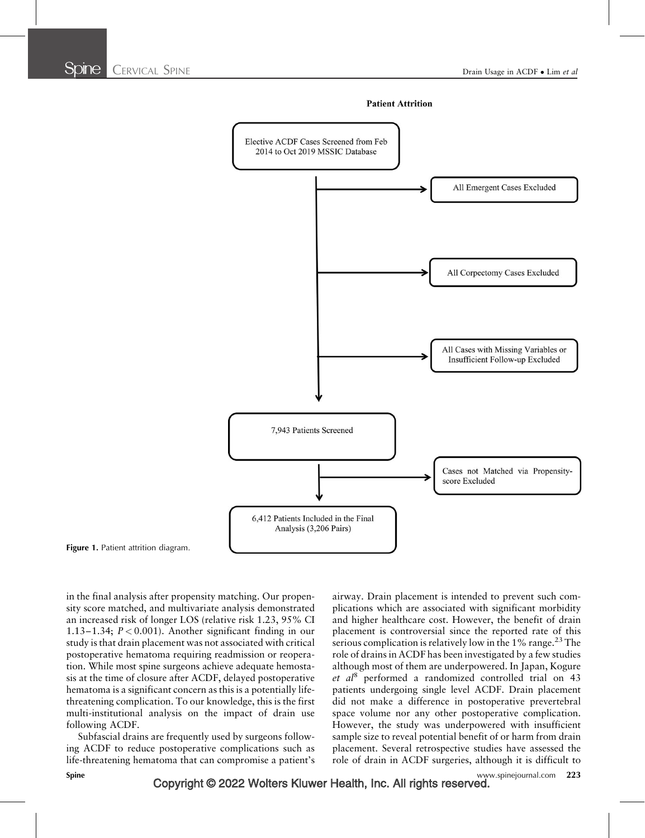





in the final analysis after propensity matching. Our propensity score matched, and multivariate analysis demonstrated an increased risk of longer LOS (relative risk 1.23, 95% CI 1.13–1.34;  $P < 0.001$ ). Another significant finding in our study is that drain placement was not associated with critical postoperative hematoma requiring readmission or reoperation. While most spine surgeons achieve adequate hemostasis at the time of closure after ACDF, delayed postoperative hematoma is a significant concern as this is a potentially lifethreatening complication. To our knowledge, this is the first multi-institutional analysis on the impact of drain use following ACDF.

Subfascial drains are frequently used by surgeons following ACDF to reduce postoperative complications such as life-threatening hematoma that can compromise a patient's airway. Drain placement is intended to prevent such complications which are associated with significant morbidity and higher healthcare cost. However, the benefit of drain placement is controversial since the reported rate of this serious complication is relatively low in the  $1\%$  range.<sup>[23](#page-8-0)</sup> The role of drains in ACDF has been investigated by a few studies although most of them are underpowered. In Japan, Kogure et  $al^8$  $al^8$  performed a randomized controlled trial on 43 patients undergoing single level ACDF. Drain placement did not make a difference in postoperative prevertebral space volume nor any other postoperative complication. However, the study was underpowered with insufficient sample size to reveal potential benefit of or harm from drain placement. Several retrospective studies have assessed the role of drain in ACDF surgeries, although it is difficult to

Copyright © 2022 Wolters Kluwer Health, Inc. All rights reserved. Spine www.spinejournal.com 223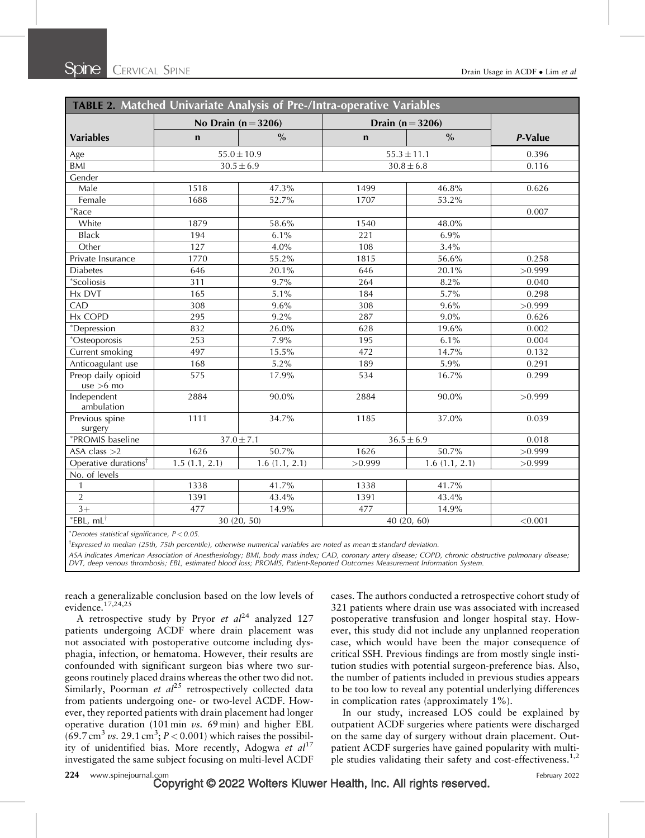|                                    | <b>TABLE 2. Matched Univariate Analysis of Pre-/Intra-operative Variables</b> |                 |             |                  |         |
|------------------------------------|-------------------------------------------------------------------------------|-----------------|-------------|------------------|---------|
|                                    | No Drain $(n = 3206)$                                                         |                 |             | Drain $(n=3206)$ |         |
| <b>Variables</b>                   | $\mathbf n$                                                                   | $\frac{0}{0}$   | $\mathbf n$ | $\frac{0}{0}$    | P-Value |
| Age                                |                                                                               | $55.0 \pm 10.9$ |             | $55.3 \pm 11.1$  | 0.396   |
| BMI                                |                                                                               | $30.5 \pm 6.9$  |             | $30.8\pm6.8$     | 0.116   |
| Gender                             |                                                                               |                 |             |                  |         |
| Male                               | 1518                                                                          | 47.3%           | 1499        | 46.8%            | 0.626   |
| Female                             | 1688                                                                          | 52.7%           | 1707        | 53.2%            |         |
| $^*$ Race                          |                                                                               |                 |             |                  | 0.007   |
| White                              | 1879                                                                          | 58.6%           | 1540        | 48.0%            |         |
| <b>Black</b>                       | 194                                                                           | 6.1%            | 221         | 6.9%             |         |
| Other                              | 127                                                                           | 4.0%            | 108         | 3.4%             |         |
| Private Insurance                  | 1770                                                                          | 55.2%           | 1815        | 56.6%            | 0.258   |
| <b>Diabetes</b>                    | 646                                                                           | 20.1%           | 646         | 20.1%            | >0.999  |
| *Scoliosis                         | 311                                                                           | 9.7%            | 264         | 8.2%             | 0.040   |
| Hx DVT                             | 165                                                                           | 5.1%            | 184         | 5.7%             | 0.298   |
| CAD                                | 308                                                                           | 9.6%            | 308         | 9.6%             | >0.999  |
| Hx COPD                            | 295                                                                           | 9.2%            | 287         | $9.0\%$          | 0.626   |
| *Depression                        | 832                                                                           | 26.0%           | 628         | 19.6%            | 0.002   |
| *Osteoporosis                      | 253                                                                           | 7.9%            | 195         | 6.1%             | 0.004   |
| Current smoking                    | 497                                                                           | 15.5%           | 472         | 14.7%            | 0.132   |
| Anticoagulant use                  | 168                                                                           | 5.2%            | 189         | 5.9%             | 0.291   |
| Preop daily opioid<br>$use > 6$ mo | 575                                                                           | 17.9%           | 534         | 16.7%            | 0.299   |
| Independent<br>ambulation          | 2884                                                                          | $90.0\%$        | 2884        | $90.0\%$         | >0.999  |
| Previous spine<br>surgery          | 1111                                                                          | 34.7%           | 1185        | 37.0%            | 0.039   |
| *PROMIS baseline                   |                                                                               | $37.0 \pm 7.1$  |             | $36.5 \pm 6.9$   | 0.018   |
| ASA class $>2$                     | 1626                                                                          | 50.7%           | 1626        | 50.7%            | >0.999  |
| Operative durations <sup>†</sup>   | 1.5(1.1, 2.1)                                                                 | 1.6(1.1, 2.1)   | >0.999      | 1.6(1.1, 2.1)    | >0.999  |
| No. of levels                      |                                                                               |                 |             |                  |         |
| 1                                  | 1338                                                                          | 41.7%           | 1338        | 41.7%            |         |
| $\overline{2}$                     | 1391                                                                          | 43.4%           | 1391        | 43.4%            |         |
| $3+$                               | 477                                                                           | 14.9%           | 477         | 14.9%            |         |
| $^*$ EBL, mL $^\dagger$            |                                                                               | 30 (20, 50)     |             | 40 (20, 60)      | < 0.001 |

\*Denotes statistical significance,  $P < 0.05$ .

<sup>†</sup>Expressed in median (25th, 75th percentile), otherwise numerical variables are noted as mean ± standard deviation.

ASA indicates American Association of Anesthesiology; BMI, body mass index; CAD, coronary artery disease; COPD, chronic obstructive pulmonary disease;<br>DVT, deep venous thrombosis; EBL, estimated blood loss; PROMIS, Patient

reach a generalizable conclusion based on the low levels of evidence.[17,24,25](#page-8-0)

A retrospective study by Pryor *et al*<sup>[24](#page-8-0)</sup> analyzed 127 patients undergoing ACDF where drain placement was not associated with postoperative outcome including dysphagia, infection, or hematoma. However, their results are confounded with significant surgeon bias where two surgeons routinely placed drains whereas the other two did not. Similarly, Poorman et  $al^{25}$  $al^{25}$  $al^{25}$  retrospectively collected data from patients undergoing one- or two-level ACDF. However, they reported patients with drain placement had longer operative duration (101 min  $\mathit{vs.}$  69 min) and higher EBL  $(69.7 \text{ cm}^3 \text{ vs. } 29.1 \text{ cm}^3; P < 0.001)$  which raises the possibility of unidentified bias. More recently, Adogwa et  $al^{17}$  $al^{17}$  $al^{17}$ investigated the same subject focusing on multi-level ACDF cases. The authors conducted a retrospective cohort study of 321 patients where drain use was associated with increased postoperative transfusion and longer hospital stay. However, this study did not include any unplanned reoperation case, which would have been the major consequence of critical SSH. Previous findings are from mostly single institution studies with potential surgeon-preference bias. Also, the number of patients included in previous studies appears to be too low to reveal any potential underlying differences in complication rates (approximately 1%).

In our study, increased LOS could be explained by outpatient ACDF surgeries where patients were discharged on the same day of surgery without drain placement. Outpatient ACDF surgeries have gained popularity with multi-ple studies validating their safety and cost-effectiveness.<sup>[1,2](#page-8-0)</sup>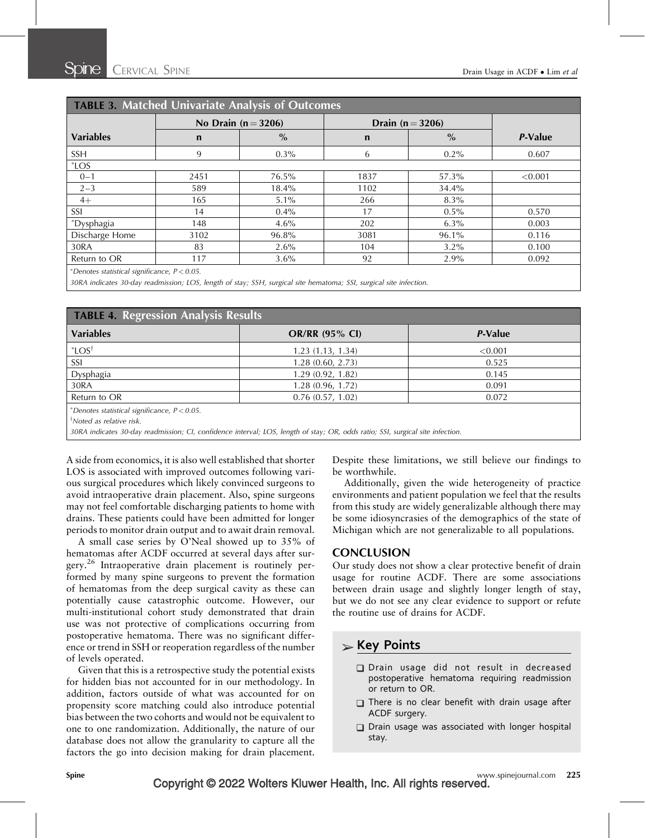| <b>TABLE 3. Matched Univariate Analysis of Outcomes</b> |             |                     |             |                      |         |
|---------------------------------------------------------|-------------|---------------------|-------------|----------------------|---------|
|                                                         |             | No Drain $(n=3206)$ |             | Drain ( $n = 3206$ ) |         |
| <b>Variables</b>                                        | $\mathbf n$ | $\%$                | $\mathbf n$ | $\frac{6}{6}$        | P-Value |
| SSH                                                     | 9           | $0.3\%$             | 6           | $0.2\%$              | 0.607   |
| $*$ LOS                                                 |             |                     |             |                      |         |
| $0 - 1$                                                 | 2451        | 76.5%               | 1837        | 57.3%                | < 0.001 |
| $2 - 3$                                                 | 589         | 18.4%               | 1102        | 34.4%                |         |
| $4+$                                                    | 165         | $5.1\%$             | 266         | $8.3\%$              |         |
| SSI                                                     | 14          | $0.4\%$             | 17          | $0.5\%$              | 0.570   |
| *Dysphagia                                              | 148         | $4.6\%$             | 202         | $6.3\%$              | 0.003   |
| Discharge Home                                          | 3102        | 96.8%               | 3081        | 96.1%                | 0.116   |
| 30RA                                                    | 83          | $2.6\%$             | 104         | $3.2\%$              | 0.100   |
| Return to OR                                            | 117         | $3.6\%$             | 92          | 2.9%                 | 0.092   |

\*Denotes statistical significance,  $P < 0.05$ .

30RA indicates 30-day readmission; LOS, length of stay; SSH, surgical site hematoma; SSI, surgical site infection.

| <b>Variables</b>     | <b>OR/RR (95% CI)</b> | P-Value |  |
|----------------------|-----------------------|---------|--|
| $*$ LOS <sup>†</sup> | 1.23(1.13, 1.34)      | <0.001  |  |
| SSI                  | 1.28(0.60, 2.73)      | 0.525   |  |
| Dysphagia            | 1.29(0.92, 1.82)      | 0.145   |  |
| 30RA                 | 1.28(0.96, 1.72)      | 0.091   |  |
| Return to OR         | 0.76(0.57, 1.02)      | 0.072   |  |

A side from economics, it is also well established that shorter LOS is associated with improved outcomes following various surgical procedures which likely convinced surgeons to avoid intraoperative drain placement. Also, spine surgeons may not feel comfortable discharging patients to home with drains. These patients could have been admitted for longer periods to monitor drain output and to await drain removal.

A small case series by O'Neal showed up to 35% of hematomas after ACDF occurred at several days after sur-gery.<sup>[26](#page-8-0)</sup> Intraoperative drain placement is routinely performed by many spine surgeons to prevent the formation of hematomas from the deep surgical cavity as these can potentially cause catastrophic outcome. However, our multi-institutional cohort study demonstrated that drain use was not protective of complications occurring from postoperative hematoma. There was no significant difference or trend in SSH or reoperation regardless of the number of levels operated.

Given that this is a retrospective study the potential exists for hidden bias not accounted for in our methodology. In addition, factors outside of what was accounted for on propensity score matching could also introduce potential bias between the two cohorts and would not be equivalent to one to one randomization. Additionally, the nature of our database does not allow the granularity to capture all the factors the go into decision making for drain placement.

Despite these limitations, we still believe our findings to be worthwhile.

Additionally, given the wide heterogeneity of practice environments and patient population we feel that the results from this study are widely generalizable although there may be some idiosyncrasies of the demographics of the state of Michigan which are not generalizable to all populations.

#### **CONCLUSION**

Our study does not show a clear protective benefit of drain usage for routine ACDF. There are some associations between drain usage and slightly longer length of stay, but we do not see any clear evidence to support or refute the routine use of drains for ACDF.

#### $\triangleright$  Key Points

- D Drain usage did not result in decreased postoperative hematoma requiring readmission or return to OR.
- There is no clear benefit with drain usage after ACDF surgery.
- Drain usage was associated with longer hospital stay.